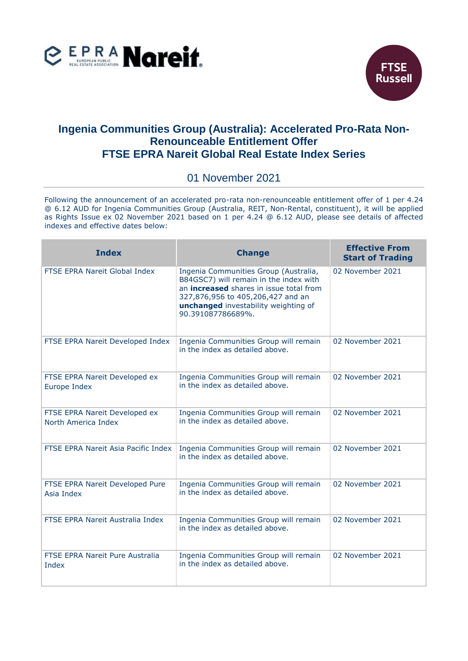



## **Ingenia Communities Group (Australia): Accelerated Pro-Rata Non-Renounceable Entitlement Offer FTSE EPRA Nareit Global Real Estate Index Series**

## 01 November 2021

Following the announcement of an accelerated pro-rata non-renounceable entitlement offer of 1 per 4.24 @ 6.12 AUD for Ingenia Communities Group (Australia, REIT, Non-Rental, constituent), it will be applied as Rights Issue ex 02 November 2021 based on 1 per 4.24 @ 6.12 AUD, please see details of affected indexes and effective dates below:

| <b>Index</b>                                         | <b>Change</b>                                                                                                                                                                                                                | <b>Effective From</b><br><b>Start of Trading</b> |
|------------------------------------------------------|------------------------------------------------------------------------------------------------------------------------------------------------------------------------------------------------------------------------------|--------------------------------------------------|
| FTSE EPRA Nareit Global Index                        | Ingenia Communities Group (Australia,<br>B84GSC7) will remain in the index with<br>an increased shares in issue total from<br>327,876,956 to 405,206,427 and an<br>unchanged investability weighting of<br>90.391087786689%. | 02 November 2021                                 |
| FTSE EPRA Nareit Developed Index                     | Ingenia Communities Group will remain<br>in the index as detailed above.                                                                                                                                                     | 02 November 2021                                 |
| FTSE EPRA Nareit Developed ex<br>Europe Index        | Ingenia Communities Group will remain<br>in the index as detailed above.                                                                                                                                                     | 02 November 2021                                 |
| FTSE EPRA Nareit Developed ex<br>North America Index | Ingenia Communities Group will remain<br>in the index as detailed above.                                                                                                                                                     | 02 November 2021                                 |
| FTSE EPRA Nareit Asia Pacific Index                  | Ingenia Communities Group will remain<br>in the index as detailed above.                                                                                                                                                     | 02 November 2021                                 |
| FTSE EPRA Nareit Developed Pure<br>Asia Index        | Ingenia Communities Group will remain<br>in the index as detailed above.                                                                                                                                                     | 02 November 2021                                 |
| FTSE EPRA Nareit Australia Index                     | Ingenia Communities Group will remain<br>in the index as detailed above.                                                                                                                                                     | 02 November 2021                                 |
| FTSE EPRA Nareit Pure Australia<br>Index             | Ingenia Communities Group will remain<br>in the index as detailed above.                                                                                                                                                     | 02 November 2021                                 |